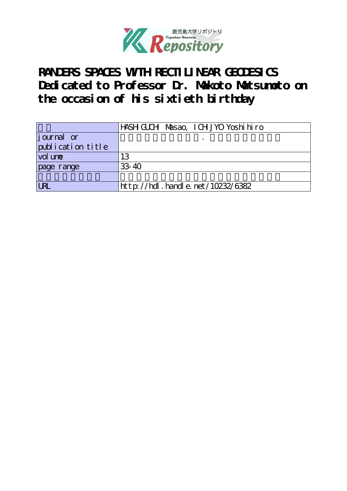

RANDERS SPACES WITH RECTILINEAR GEODESICS **Dedicated to Professor Dr. Makoto Matsumoto on the occasion of his sixtieth birthday**

|                     | HASH GUCH Masao, I CH JYO Yoshi hi ro |
|---------------------|---------------------------------------|
| journal or          |                                       |
| publication title   |                                       |
| vol un <del>e</del> | 13                                    |
| page range          | $33 - 40$                             |
|                     |                                       |
| <b>URL</b>          | http://hdl. handle. net/10232/6382    |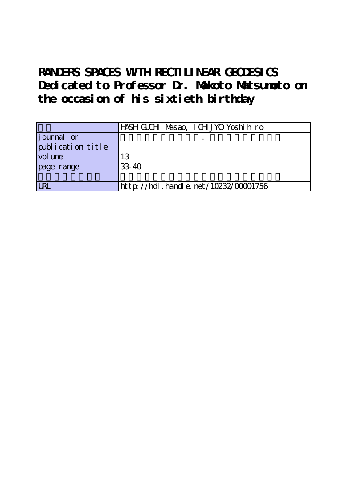RANDERS SPACES WITH RECTI LINEAR GEODESICS **Dedicated to Professor Dr. Makoto Matsumoto on the occasion of his sixtieth birthday**

|                         | HASH GUCH Masao, I CH JYO Yoshi hi ro     |
|-------------------------|-------------------------------------------|
| journal or              |                                           |
| publication title       |                                           |
| vol une                 | 13                                        |
| page range              | $33 - 40$                                 |
|                         |                                           |
| $\overline{\mathbb{R}}$ | $http$ ://hdl. handle. net/10232/00001756 |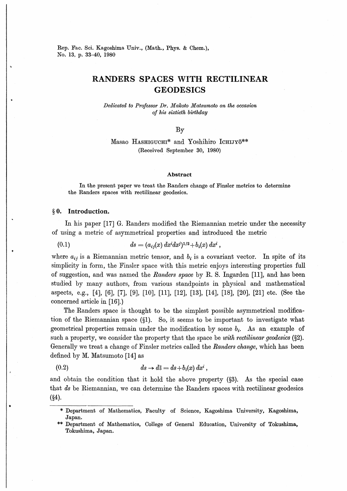Rep. Fac. Sci. Kagoshima Univ., (Math., Phys. & Chem.), No. 13, p. 33-40, 1980

# RANDERS SPACES WITH RECTILINEAR GEODESICS

Dedicated to Professor Dr. Mahoto Matsumoto on the occasion of his sixtieth birthday

By

Masao HASHIGUCHI\* and Yoshihiro ICHIJYO\*\* (Received September 30, 1980)

### Abstract

In the present paper we treat the Randers change of Finsler metrics to determine the Randers spaces with rectilinear geodesies.

### §0. Introduction.

In his paper [17] G. Randers modified the Riemannian metric under the necessity of using a metric of asymmetrical properties and introduced the metric

(0.1) 
$$
ds = (a_{ij}(x) dx^{i} dx^{j})^{1/2} + b_{i}(x) dx^{i},
$$

where  $a_{ij}$  is a Riemannian metric tensor, and  $b_i$  is a covariant vector. In spite of its simplicity in form, the Finsler space with this metric enjoys interesting properties full of suggestion, and was named the Randers space by R. S. Ingarden  $[11]$ , and has been studied by many authors, from various standpoints in physical and mathematical aspects, e.g., [4], [6], [7], [9], [10], [11], [12], [13], [14], [18], [20], [21] etc. (See the concerned article in [16].)

The Randers space is thought to be the simplest possible asymmetrical modification of the Riemannian space  $(§1)$ . So, it seems to be important to investigate what geometrical properties remain under the modification by some  $b_i$ . As an example of such a property, we consider the property that the space be with rectilinear geodesics  $(\S2)$ . Generally we treat a change of Finsler metrics called the *Randers change*, which has been defined by M. Matsumoto [14] as

$$
(0.2) \t\t ds \to d\overline{s} = ds + b_i(x) dx^i,
$$

and obtain the condition that it hold the above property  $(\S3)$ . As the special case that ds be Riemannian, we can determine the Randers spaces with rectilinear geodesics (§4).

<sup>\*</sup> Department of Mathematics, Faculty of Science, Kagoshima University, Kagoshima, Japan.

<sup>\*\*</sup> Department of Mathematics, College of General Education, University of Tokushima, Tokushima, Japan.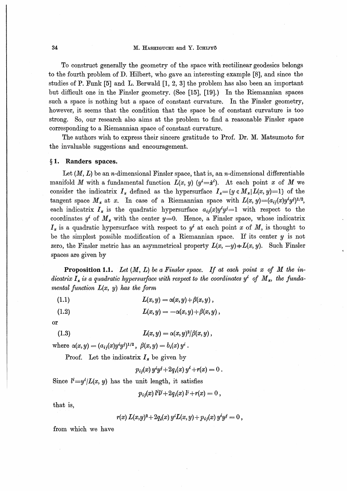# 34 M. HASHIGUCHI and Y. ICHIJYO

To construct generally the geometry of the space with rectilinear geodesies belongs to the fourth problem of D. Hilbert, who gave an interesting example [8], and since the studies of P. Funk [5] and L. Berwald [1, 2, 3] the problem has also been an important but difficult one in the Finsler geometry. (See [15], [19].) In the Riemannian spaces such a space is nothing but a space of constant curvature. In the Finsler geometry, however, it seems that the condition that the space be of constant curvature is too strong. So, our research also aims at the problem to find a reasonable Finsler space corresponding to a Riemannian space of constant curvature.

The authors wish to express their sincere gratitude to Prof. Dr. M. Matsumoto for the invaluable suggestions and encouragement.

# §1. Randers spaces.

Let  $(M, L)$  be an *n*-dimensional Finsler space, that is, an *n*-dimensional differentiable manifold M with a fundamental function  $L(x, y)$  ( $y^i = \dot{x}^i$ ). At each point x of M we consider the indicatrix  $I_x$  defined as the hypersurface  $I_x=[y \in M_x | L(x, y)=1]$  of the tangent space  $M_x$  at x. In case of a Riemannian space with  $L(x, y)=(a_{ij}(x)y^i y^j)^{1/2}$ , each indicatrix  $I_x$  is the quadratic hypersurface  $a_{ij}(x)y^i y^j = 1$  with respect to the coordinates  $y^i$  of  $M_x$  with the center  $y=0$ . Hence, a Finsler space, whose indicatrix  $I<sub>x</sub>$  is a quadratic hypersurface with respect to  $y<sup>i</sup>$  at each point x of M, is thought to be the simplest possible modification of a Riemannian space. If its center  $y$  is not zero, the Finsler metric has an asymmetrical property  $L(x, -y) \neq L(x, y)$ . Such Finsler spaces are given by

**Proposition 1.1.** Let  $(M, L)$  be a Finsler space. If at each point x of M the indicatrix  $I_x$  is a quadratic hypersurface with respect to the coordinates  $y^i$  of  $M_x$ , the fundamental function  $L(x, y)$  has the form

(1.1)  $L(x, y) = \alpha(x, y) + \beta(x, y)$ ,

$$
(1.2) \t\t\t L(x,y) = -\alpha(x,y) + \beta(x,y),
$$

or

$$
(1.3) \t\t\t L(x,y) = \alpha(x,y)^2/\beta(x,y) ,
$$

where  $\alpha(x,y) = (a_{ij}(x)y^i y^{j})^{1/2}$ ,  $\beta(x,y) = b_i(x) y^i$ .

Proof. Let the indicatrix  $I_x$  be given by

 $p_{ij}(x) y^i y^j + 2q_i(x) y^i + r(x) = 0.$ 

Since  $l<sup>i</sup>=y<sup>i</sup>/L(x, y)$  has the unit length, it satisfies

 $p_{ij}(x)$   $l^{i}l^{j}+2q_{i}(x)$   $l^{i}+r(x) = 0$ ,

that is.

$$
r(x) L(x,y)^{2}+2q_{i}(x) y^{i}L(x,y)+p_{ij}(x) y^{i}y^{j}=0,
$$

from which we have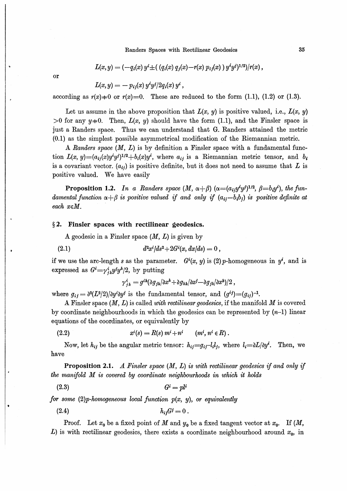Randers Spaces with Rectilinear Geodesics

$$
L(x,y) = (-q_i(x) y^i \pm ( (q_i(x) q_j(x) - r(x) p_{ij}(x) ) y^i y^j)^{1/2})/r(x),
$$

or

$$
L(x,y)=-p_{ij}(x)\,y^iy^j/2q_i(x)\,y^i\,,
$$

according as  $r(x)=0$  or  $r(x)=0$ . These are reduced to the form (1.1), (1.2) or (1.3).

Let us assume in the above proposition that  $L(x, y)$  is positive valued, i.e.,  $L(x, y)$ >0 for any  $y=0$ . Then,  $L(x, y)$  should have the form (1.1), and the Finsler space is just a Randers space. Thus we can understand that G. Randers attained the metric  $(0.1)$  as the simplest possible asymmetrical modification of the Riemannian metric.

A Randers space  $(M, L)$  is by definition a Finsler space with a fundamental function  $L(x, y) = (a_{ij}(x)y^i y^j)^{1/2} + b_i(x)y^i$ , where  $a_{ij}$  is a Riemannian metric tensor, and  $b_i$ is a covariant vector.  $(a_{ij})$  is positive definite, but it does not need to assume that L is positive valued. We have easily

**Proposition 1.2.** In a Randers space  $(M, \alpha + \beta)$   $(\alpha = (a_i, y^i y^j)^{1/2}, \beta = b_i y^i)$ , the fundamental function  $\alpha + \beta$  is positive valued if and only if  $(a_{ij} - b_i b_j)$  is positive definite at each  $x \in M$ .

#### $§$  2. Finsler spaces with rectilinear geodesics.

A geodesic in a Finsler space  $(M, L)$  is given by

(2.1) 
$$
d^2x^i/ds^2 + 2G^i(x, dx/ds) = 0,
$$

if we use the arc-length s as the parameter.  $G^{i}(x, y)$  is (2) p-homogeneous in y<sup>i</sup>, and is expressed as  $G^i = \gamma_{ik}^i y^j y^k/2$ , by putting

$$
\gamma_{ik}^i = g^{ik} (\partial g_{jk} / \partial x^k + \partial g_{kh} / \partial x^j - \partial g_{jk} / \partial x^h) / 2 \,,
$$

where  $g_{ij} = \partial^2 (L^2/2) \partial y^i \partial y^j$  is the fundamental tensor, and  $(g^{ij}) = (g_{ij})^{-1}$ .

A Finsler space  $(M, L)$  is called *with rectilinear geodesics*, if the manifold M is covered by coordinate neighbourhoods in which the geodesics can be represented by  $(n-1)$  linear equations of the coordinates, or equivalently by

(2.2) 
$$
x^{i}(s) = R(s) m^{i} + n^{i} \qquad (m^{i}, n^{i} \in R).
$$

Now, let  $h_{ij}$  be the angular metric tensor:  $h_{ij} = g_{ij} - l_i l_j$ , where  $l_i = \partial L/\partial y^i$ . Then, we have

**Proposition 2.1.** A Finsler space  $(M, L)$  is with rectilinear geodesics if and only if the manifold  $\vec{M}$  is covered by coordinate neighbourhoods in which it holds

 $G^i = n!$  $(2.3)$ 

for some  $(2)p$ -homogeneous local function  $p(x, y)$ , or equivalently

**Proof.** Let  $x_0$  be a fixed point of M and  $y_0$  be a fixed tangent vector at  $x_0$ . If (M, L) is with rectilinear geodesics, there exists a coordinate neighbourhood around  $x_0$ , in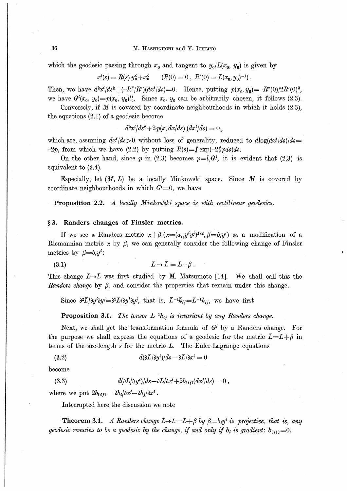which the geodesic passing through  $x_0$  and tangent to  $y_0/L(x_0, y_0)$  is given by

$$
x^{i}(s) = R(s) y_{0}^{i} + x_{0}^{i} \qquad (R(0) = 0 \ , R'(0) = L(x_{0}, y_{0})^{-1}).
$$

Then, we have  $d^2x^i/ds^2 + (-R''/R')(dx^i/ds) = 0$ . Hence, putting  $p(x_0, y_0) = -R''(0)/2R'(0)^3$ , we have  $G^{i}(x_0, y_0) = p(x_0, y_0)l_0^{i}$ . Since  $x_0, y_0$  can be arbitrarily chosen, it follows (2.3).

Conversely, if  $M$  is covered by coordinate neighbourhoods in which it holds  $(2.3)$ , the equations  $(2.1)$  of a geodesic become

 $d^2x^i/ds^2 + 2p(x, dx/ds)$   $(dx^i/ds) = 0$ ,

which are, assuming  $dx^{i}/ds > 0$  without loss of generality, reduced to  $d\log(dx^{i}/ds)/ds =$  $-2p$ , from which we have (2.2) by putting  $R(s) = \int \exp(-2\int p ds) ds$ .

On the other hand, since p in (2.3) becomes  $p=l_iG^j$ , it is evident that (2.3) is equivalent to  $(2.4)$ .

Especially, let  $(M, L)$  be a locally Minkowski space. Since M is covered by coordinate neighbourhoods in which  $G^{i}=0$ , we have

**Proposition 2.2.** A locally Minkowski space is with rectilinear geodesics.

## §3. Randers changes of Finsler metrics.

If we see a Randers metric  $\alpha + \beta$  ( $\alpha = (a_{ij}y^i y^j)^{1/2}, \beta = b_i y^i$ ) as a modification of a Riemannian metric  $\alpha$  by  $\beta$ , we can generally consider the following change of Finsler metrics by  $\beta = b_i y^i$ :

 $L \rightarrow \bar{L} = L + \beta$ .  $(3.1)$ 

This change  $L\rightarrow \bar{L}$  was first studied by M. Matsumoto [14]. We shall call this the Randers change by  $\beta$ , and consider the properties that remain under this change.

Since  $\frac{\partial^2 \bar{L}}{\partial y^i \partial y^j} = \frac{\partial^2 L}{\partial y^i \partial y^j}$ , that is,  $\bar{L}^{-1} \bar{h}_{ij} = L^{-1} h_{ij}$ , we have first

**Proposition 3.1.** The tensor  $L^{-1}h_{ij}$  is invariant by any Randers change.

Next, we shall get the transformation formula of  $G<sup>i</sup>$  by a Randers change. For the purpose we shall express the equations of a geodesic for the metric  $\bar{L}=L+\beta$  in terms of the arc-length  $s$  for the metric  $L$ . The Euler-Lagrange equations

$$
d(\partial \bar{L}/\partial y^i)/ds - \partial \bar{L}/\partial x^i = 0
$$

become

(3.3) 
$$
d(\partial L/\partial y^i)/ds - \partial L/\partial x^i + 2b_{[ij]}(dx^j/ds) = 0,
$$

where we put  $2b_{[ij]} = \partial b_i/\partial x^j - \partial b_j/\partial x^i$ .

Interrupted here the discussion we note

**Theorem 3.1.** A Randers change  $L \rightarrow \bar{L} = L + \beta$  by  $\beta = b_i y^i$  is projective, that is, any geodesic remains to be a geodesic by the change, if and only if  $b_i$  is gradient:  $b_{[ij]}=0$ .

36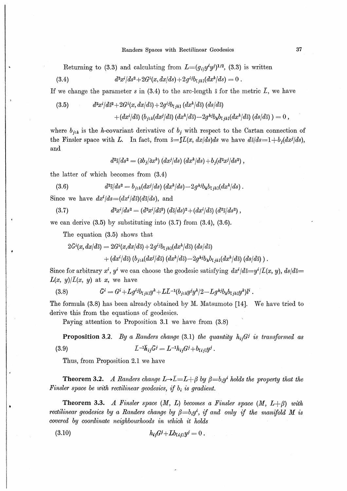Returning to (3.3) and calculating from  $L=(q_{ii}y^i y^j)^{1/2}$ , (3.3) is written

(3.4) 
$$
d^2x^{i}/ds^2 + 2G^{i}(x, dx/ds) + 2g^{ij}b_{1jk1}(dx^{k}/ds) = 0
$$

If we change the parameter s in (3.4) to the arc-length  $\bar{s}$  for the metric  $\bar{L}$ , we have

(3.5) 
$$
d^{2}x^{i}/d\bar{s}^{2}+2G^{i}(x,dx/d\bar{s})+2g^{ij}b_{i j k 1} (dx^{k}/d\bar{s}) (ds/d\bar{s}) + (dx^{i}/d\bar{s}) (b_{j 1 k}(dx^{j}/d\bar{s}) (dx^{k}/d\bar{s})-2g^{k j}b_{k}b_{i j k 1}(dx^{k}/d\bar{s}) (ds/d\bar{s}) )=0,
$$

where  $b_{j1k}$  is the *h*-covariant derivative of  $b_j$  with respect to the Cartan connection of the Finsler space with L. In fact, from  $\bar{s} = \int \bar{L}(x, dx/ds)ds$  we have  $d\bar{s}/ds = 1 + b_i(dx/ds)$ , and

$$
d^2\bar{s}/ds^2=(\partial b_j/\partial x^k)\,(dx^j/ds)\,(dx^k/ds)+b_j(d^2x^j/ds^2)\ ,
$$

the latter of which becomes from  $(3.4)$ 

(3.6) 
$$
d^2\bar{s}/ds^2 = b_{jik}(dx^j/ds) (dx^k/ds) - 2g^{hj}b_h b_{l j k}(dx^k/ds)
$$

Since we have  $dx^{i}/ds = (dx^{i}/d\overline{s}) (d\overline{s}/ds)$ , and

$$
(3.7) \qquad \qquad d^2x^i/ds^2 = (d^2x^i/d\bar{s}^2)\ (d\bar{s}/ds)^2 + (dx^i/d\bar{s})\ (d^2\bar{s}/ds^2)\ ,
$$

we can derive  $(3.5)$  by substituting into  $(3.7)$  from  $(3.4)$ ,  $(3.6)$ .

The equation (3.5) shows that

 $2\bar{G}^{i}(x, dx/d\bar{s}) = 2G^{i}(x, dx/d\bar{s}) + 2g^{ij}b_{ijkl}(dx^{k}/d\bar{s})$  (ds/ds)

$$
+ (dx^{i}/d\bar{s}) (b_{j+k}(dx^{j}/d\bar{s}) (dx^{k}/d\bar{s}) - 2gh^{j}b_{k}b_{i,k1}(dx^{k}/d\bar{s}) (ds/d\bar{s})
$$
).

Since for arbitrary  $x^i$ ,  $y^i$  we can choose the geodesic satisfying  $dx^i/d\bar{s} = y^i/\bar{L}(x, y)$ ,  $ds/d\bar{s} =$  $L(x, y)/\overline{L}(x, y)$  at x, we have

$$
(3.8) \qquad \qquad \bar{G}^i = G^i + Lg^{ij}b_{[ijk]}y^k + L\bar{L}^{-1}(b_{j|k}y^jy^k/2 - Lg^{hj}b_{h}b_{[ijk]}y^k)l^i\ .
$$

The formula (3.8) has been already obtained by M. Matsumoto [14]. We have tried to derive this from the equations of geodesics.

Paying attention to Proposition 3.1 we have from (3.8)

**Proposition 3.2.** By a Randers change (3.1) the quantity  $h_{ij}G^j$  is transformed as

(3.9) 
$$
\bar{L}^{-1}\bar{h}_{ij}\bar{G}^{j} = L^{-1}h_{ij}G^{j} + b_{[ij]}\bar{g}^{j}.
$$

Thus, from Proposition 2.1 we have

**Theorem 3.2.** A Randers change  $L \rightarrow \bar{L} = L + \beta$  by  $\beta = b_i y^i$  holds the property that the Finsler space be with rectilinear geodesics, if  $b_i$  is gradient.

**Theorem 3.3.** A Finsler space  $(M, L)$  becomes a Finsler space  $(M, L+\beta)$  with rectilinear geodesics by a Randers change by  $\beta = b_i y^i$ , if and only if the manifold M is covered by coordinate neighbourhoods in which it holds

(3.10) 
$$
h_{ij}G^{j}+Lb_{[ij]}y^{j}=0.
$$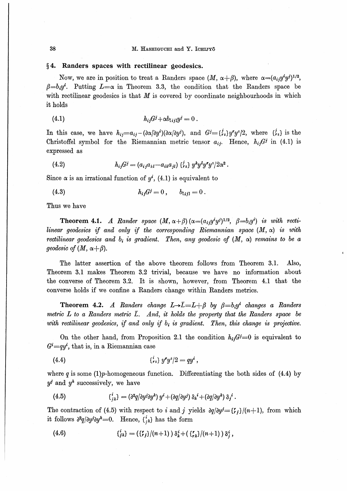#### $\S$ 4. Randers spaces with rectilinear geodesics.

Now, we are in position to treat a Randers space  $(M, \alpha + \beta)$ , where  $\alpha = (a_{ij}y^i y^j)^{1/2}$ ,  $\beta = b_i y^i$ . Putting  $L = \alpha$  in Theorem 3.3, the condition that the Randers space be with rectilinear geodesics is that  $M$  is covered by coordinate neighbourhoods in which it holds

In this case, we have  $h_{ij} = a_{ij} - (\partial \alpha/\partial y^i)(\partial \alpha/\partial y^j)$ , and  $G^j = {\binom{i}{r}} y^r y^s/2$ , where  ${\binom{i}{r}}$  is the Christoffel symbol for the Riemannian metric tensor  $a_{ij}$ . Hence,  $h_{ij}G^j$  in (4.1) is expressed as

(4.2) 
$$
h_{ij}G^j = (a_{ij}a_{kl} - a_{ik}a_{jl}) \{^j_{rs}\} y^k y^l y^r y^s / 2\alpha^2.
$$

Since  $\alpha$  is an irrational function of  $y^i$ , (4.1) is equivalent to

(4.3) 
$$
h_{ij}G^{j}=0, \qquad b_{[ij]}=0.
$$

Thus we have

**Theorem 4.1.** A Rander space  $(M, \alpha + \beta)$   $(\alpha = (a_i, y^i y^j)^{1/2}, \beta = b_i y^i)$  is with rectilinear geodesics if and only if the corresponding Riemannian space  $(M, \alpha)$  is with rectilinear geodesics and  $b_i$  is gradient. Then, any geodesic of  $(M, \alpha)$  remains to be a geodesic of  $(M, \alpha + \beta)$ .

The latter assertion of the above theorem follows from Theorem 3.1. Also, Theorem 3.1 makes Theorem 3.2 trivial, because we have no information about the converse of Theorem 3.2. It is shown, however, from Theorem 4.1 that the converse holds if we confine a Randers change within Randers metrics.

**Theorem 4.2.** A Randers change  $L \rightarrow \bar{L} = L + \beta$  by  $\beta = b_i y^i$  changes a Randers metric  $L$  to a Randers metric  $\bar{L}$ . And, it holds the property that the Randers space be with rectilinear geodesics, if and only if  $b_i$  is gradient. Then, this change is projective.

On the other hand, from Proposition 2.1 the condition  $h_{ij}G^j=0$  is equivalent to  $G^i = qy^i$ , that is, in a Riemannian case

(4.4) 
$$
\qquad \qquad {\textstyle\{\stackrel{i}{r}\textstyle\ {}_s\}}\ y^r y^s/2 = q y^i\ ,
$$

where q is some (1)  $p$ -homogeneous function. Differentiating the both sides of (4.4) by  $y^j$  and  $y^k$  successively, we have

(4.5) 
$$
\left\{ {i \atop j,k} \right\} = \left( \frac{\partial^2 q}{\partial y^j} \right) y^i + \left( \frac{\partial q}{\partial y^j} \right) \delta_k{}^i + \left( \frac{\partial q}{\partial y^k} \right) \delta_j{}^i.
$$

The contraction of (4.5) with respect to i and j yields  $\frac{\partial q}{\partial y'} = \binom{r}{i}/(n+1)$ , from which it follows  $\partial^2 q / \partial y^i \partial y^k = 0$ . Hence,  $\{\xi_{ik}\}$  has the form

(4.6) 
$$
\begin{aligned} \n\binom{i}{j} &= \left(\binom{r}{j}/(n+1)\right) \delta_k^i + \left(\binom{r}{r_k}/(n+1)\right) \delta_j^i \, , \n\end{aligned}
$$

38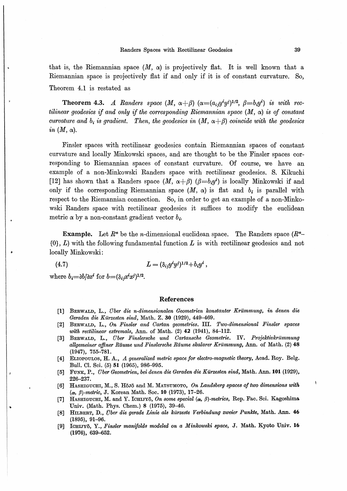### Randers Spaces with Rectilinear Geodesics

that is, the Riemannian space  $(M, \alpha)$  is projectively flat. It is well known that a Riemannian space is projectively flat if and only if it is of constant curvature. So, Theorem 4.1 is restated as

**Theorem 4.3.** A Randers space  $(M, \alpha + \beta)$   $(\alpha = (a_{ij}y^i y^j)^{1/2}, \beta = b_i y^i)$  is with rectilinear geodesics if and only if the corresponding Riemannian space  $(M, \alpha)$  is of constant curvature and  $b_i$  is gradient. Then, the geodesics in  $(M, \alpha + \beta)$  coincide with the geodesics in  $(M, \alpha)$ .

Finsler spaces with rectilinear geodesics contain Riemannian spaces of constant curvature and locally Minkowski spaces, and are thought to be the Finsler spaces corresponding to Riemannian spaces of constant curvature. Of course, we have an example of a non-Minkowski Randers space with rectilinear geodesics. S. Kikuchi [12] has shown that a Randers space  $(M, \alpha + \beta)$  ( $\beta = b_i y^i$ ) is locally Minkowski if and only if the corresponding Riemannian space  $(M, \alpha)$  is flat and  $b_i$  is parallel with respect to the Riemannian connection. So, in order to get an example of a non-Minkowski Randers space with rectilinear geodesics it suffices to modify the euclidean metric  $\alpha$  by a non-constant gradient vector  $b_i$ .

**Example.** Let  $R<sup>n</sup>$  be the *n*-dimensional euclidean space. The Randers space  $(R<sup>n</sup>$ - $\{0\}$ ,  $L$ ) with the following fundamental function  $L$  is with rectilinear geodesics and not locally Minkowski:

$$
(4.7) \t\t\t\t L = (\delta_{ij}y^i y^j)^{1/2} + b_i y^i,
$$

where  $b_i = \partial b/\partial x^i$  for  $b = (\delta_i, x^i x^j)^{1/2}$ .

### **References**

- [1] BERWALD, L., Über die n-dimensionalen Geometrien konstanter Krümmung, in denen die Geraden die Kürzesten sind. Math. Z. 30 (1929), 449-469.
- [2] BERWALD, L., On Finsler and Cartan geometries. III. Two-dimensional Finsler spaces with rectilinear extremals, Ann. of Math. (2) 42 (1941), 84-112.
- [3] BERWALD, L., Über Finslersche und Cartansche Geometrie. IV. Projektivkrümmung allgemeiner affiner Räume und Finslersche Räume skalarer Krümmung, Ann. of Math. (2) 48  $(1947), 755 - 781.$
- [4] ELIOPOULOS, H. A., A generalized metric space for electro-magnetic theory, Acad. Roy. Belg. Bull. Cl. Sci. (5) 51 (1965), 986-995.
- FUNK, P., Über Geometrien, bei denen die Geraden die Kürzesten sind, Math. Ann. 101 (1929),  $[5]$ 226-237.
- [6] HASHIGUCHI, M., S. Hojō and M. MATSUMOTO, On Landsberg spaces of two dimensions with  $(\alpha, \beta)$ -metric, J. Korean Math. Soc. 10 (1973), 17-26.
- HASHIGUCHI, M. and Y. ICHIJYō, On some special  $(\alpha, \beta)$ -metrics, Rep. Fac. Sci. Kagoshima **F71** Univ. (Math. Phys. Chem.) 8 (1975), 39-46.
- HILBERT, D., Über die gerade Linie als kürzeste Verbindung zweier Punkte, Math. Ann. 46 **F81**  $(1895), 91-96.$
- ICHIJYō, Y., Finsler manifolds modeled on a Minkowski space, J. Math. Kyoto Univ. 16 **F91**  $(1976), 639 - 652.$